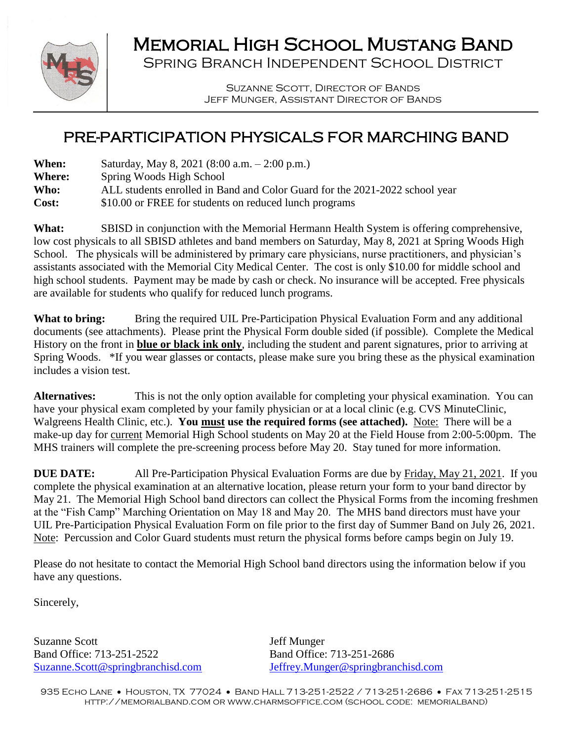

## Memorial High School Mustang Band

Spring Branch Independent School District

Suzanne Scott, Director of Bands Jeff Munger, Assistant Director of Bands

## PRE-PARTICIPATION PHYSICALS FOR MARCHING BAND

| <b>When:</b>  | Saturday, May 8, 2021 (8:00 a.m. $-2:00$ p.m.)                              |
|---------------|-----------------------------------------------------------------------------|
| <b>Where:</b> | Spring Woods High School                                                    |
| Who:          | ALL students enrolled in Band and Color Guard for the 2021-2022 school year |
| Cost:         | \$10.00 or FREE for students on reduced lunch programs                      |
|               |                                                                             |

**What:** SBISD in conjunction with the Memorial Hermann Health System is offering comprehensive, low cost physicals to all SBISD athletes and band members on Saturday, May 8, 2021 at Spring Woods High School. The physicals will be administered by primary care physicians, nurse practitioners, and physician's assistants associated with the Memorial City Medical Center. The cost is only \$10.00 for middle school and high school students. Payment may be made by cash or check. No insurance will be accepted. Free physicals are available for students who qualify for reduced lunch programs.

What to bring: Bring the required UIL Pre-Participation Physical Evaluation Form and any additional documents (see attachments). Please print the Physical Form double sided (if possible). Complete the Medical History on the front in **blue or black ink only**, including the student and parent signatures, prior to arriving at Spring Woods. \*If you wear glasses or contacts, please make sure you bring these as the physical examination includes a vision test.

**Alternatives:** This is not the only option available for completing your physical examination. You can have your physical exam completed by your family physician or at a local clinic (e.g. CVS MinuteClinic, Walgreens Health Clinic, etc.). **You must use the required forms (see attached).** Note: There will be a make-up day for current Memorial High School students on May 20 at the Field House from 2:00-5:00pm. The MHS trainers will complete the pre-screening process before May 20. Stay tuned for more information.

**DUE DATE:** All Pre-Participation Physical Evaluation Forms are due by Friday, May 21, 2021. If you complete the physical examination at an alternative location, please return your form to your band director by May 21. The Memorial High School band directors can collect the Physical Forms from the incoming freshmen at the "Fish Camp" Marching Orientation on May 18 and May 20. The MHS band directors must have your UIL Pre-Participation Physical Evaluation Form on file prior to the first day of Summer Band on July 26, 2021. Note: Percussion and Color Guard students must return the physical forms before camps begin on July 19.

Please do not hesitate to contact the Memorial High School band directors using the information below if you have any questions.

Sincerely,

Suzanne Scott Jeff Munger Band Office: 713-251-2522 Band Office: 713-251-2686

[Suzanne.Scott@springbranchisd.com](mailto:Suzanne.Scott@springbranchisd.com) [Jeffrey.Munger@springbranchisd.com](mailto:Jeffrey.Munger@springbranchisd.com)